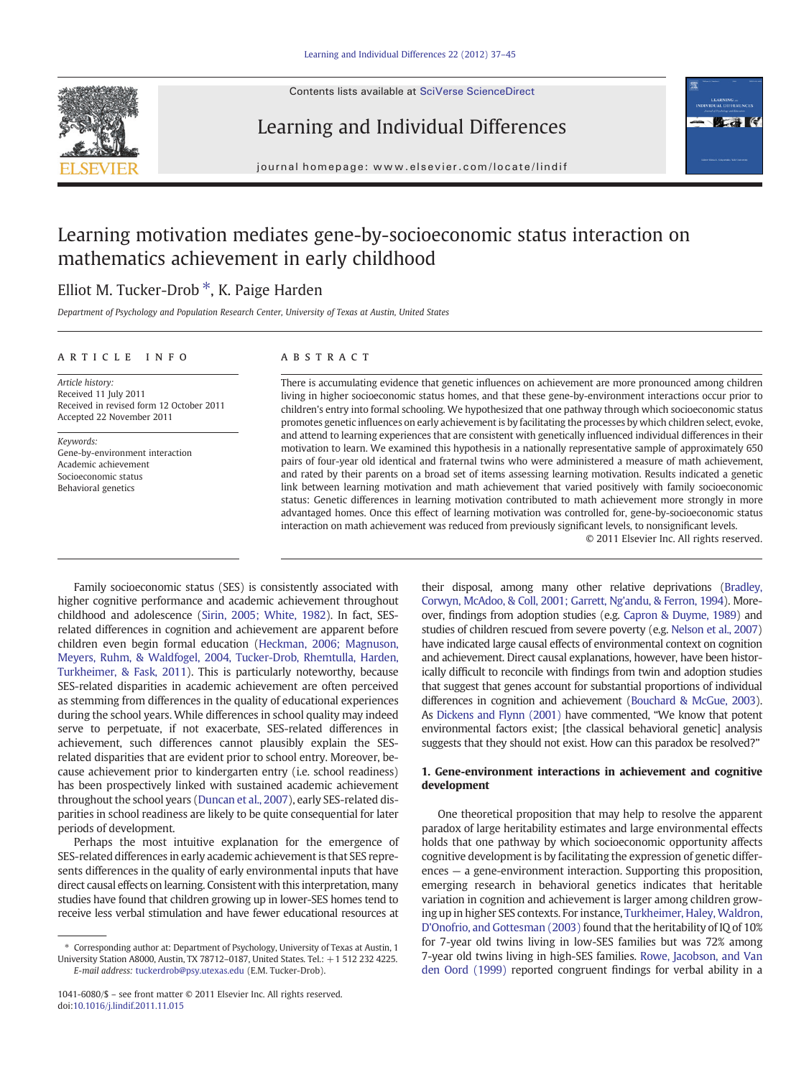Contents lists available at [SciVerse ScienceDirect](http://www.sciencedirect.com/science/journal/10416080)



Learning and Individual Differences



journal homepage: www.elsevier.com/locate/lindif

# Learning motivation mediates gene-by-socioeconomic status interaction on mathematics achievement in early childhood

## Elliot M. Tucker-Drob  $*$ , K. Paige Harden

Department of Psychology and Population Research Center, University of Texas at Austin, United States

### ARTICLE INFO ABSTRACT

Article history: Received 11 July 2011 Received in revised form 12 October 2011 Accepted 22 November 2011

Keywords: Gene-by-environment interaction Academic achievement Socioeconomic status Behavioral genetics

There is accumulating evidence that genetic influences on achievement are more pronounced among children living in higher socioeconomic status homes, and that these gene-by-environment interactions occur prior to children's entry into formal schooling. We hypothesized that one pathway through which socioeconomic status promotes genetic influences on early achievement is by facilitating the processes by which children select, evoke, and attend to learning experiences that are consistent with genetically influenced individual differences in their motivation to learn. We examined this hypothesis in a nationally representative sample of approximately 650 pairs of four-year old identical and fraternal twins who were administered a measure of math achievement, and rated by their parents on a broad set of items assessing learning motivation. Results indicated a genetic link between learning motivation and math achievement that varied positively with family socioeconomic status: Genetic differences in learning motivation contributed to math achievement more strongly in more advantaged homes. Once this effect of learning motivation was controlled for, gene-by-socioeconomic status interaction on math achievement was reduced from previously significant levels, to nonsignificant levels.

© 2011 Elsevier Inc. All rights reserved.

Family socioeconomic status (SES) is consistently associated with higher cognitive performance and academic achievement throughout childhood and adolescence ([Sirin, 2005; White, 1982\)](#page-8-0). In fact, SESrelated differences in cognition and achievement are apparent before children even begin formal education ([Heckman, 2006; Magnuson,](#page-8-0) [Meyers, Ruhm, & Waldfogel, 2004, Tucker-Drob, Rhemtulla, Harden,](#page-8-0) [Turkheimer, & Fask, 2011](#page-8-0)). This is particularly noteworthy, because SES-related disparities in academic achievement are often perceived as stemming from differences in the quality of educational experiences during the school years. While differences in school quality may indeed serve to perpetuate, if not exacerbate, SES-related differences in achievement, such differences cannot plausibly explain the SESrelated disparities that are evident prior to school entry. Moreover, because achievement prior to kindergarten entry (i.e. school readiness) has been prospectively linked with sustained academic achievement throughout the school years ([Duncan et al., 2007](#page-8-0)), early SES-related disparities in school readiness are likely to be quite consequential for later periods of development.

Perhaps the most intuitive explanation for the emergence of SES-related differences in early academic achievement is that SES represents differences in the quality of early environmental inputs that have direct causal effects on learning. Consistent with this interpretation, many studies have found that children growing up in lower-SES homes tend to receive less verbal stimulation and have fewer educational resources at

their disposal, among many other relative deprivations ([Bradley,](#page-8-0) [Corwyn, McAdoo, & Coll, 2001; Garrett, Ng'andu, & Ferron, 1994\)](#page-8-0). Moreover, findings from adoption studies (e.g. [Capron & Duyme, 1989](#page-8-0)) and studies of children rescued from severe poverty (e.g. [Nelson et al., 2007](#page-8-0)) have indicated large causal effects of environmental context on cognition and achievement. Direct causal explanations, however, have been historically difficult to reconcile with findings from twin and adoption studies that suggest that genes account for substantial proportions of individual differences in cognition and achievement ([Bouchard & McGue, 2003](#page-8-0)). As [Dickens and Flynn \(2001\)](#page-8-0) have commented, "We know that potent environmental factors exist; [the classical behavioral genetic] analysis suggests that they should not exist. How can this paradox be resolved?"

#### 1. Gene-environment interactions in achievement and cognitive development

One theoretical proposition that may help to resolve the apparent paradox of large heritability estimates and large environmental effects holds that one pathway by which socioeconomic opportunity affects cognitive development is by facilitating the expression of genetic differences — a gene-environment interaction. Supporting this proposition, emerging research in behavioral genetics indicates that heritable variation in cognition and achievement is larger among children growing up in higher SES contexts. For instance, [Turkheimer, Haley, Waldron,](#page-8-0) [D'Onofrio, and Gottesman \(2003\)](#page-8-0) found that the heritability of IQ of 10% for 7-year old twins living in low-SES families but was 72% among 7-year old twins living in high-SES families. [Rowe, Jacobson, and Van](#page-8-0) [den Oord \(1999\)](#page-8-0) reported congruent findings for verbal ability in a

<sup>⁎</sup> Corresponding author at: Department of Psychology, University of Texas at Austin, 1 University Station A8000, Austin, TX 78712–0187, United States. Tel.: +1 512 232 4225. E-mail address: [tuckerdrob@psy.utexas.edu](mailto:tuckerdrob@psy.utexas.edu) (E.M. Tucker-Drob).

<sup>1041-6080/\$</sup> – see front matter © 2011 Elsevier Inc. All rights reserved. doi:[10.1016/j.lindif.2011.11.015](http://dx.doi.org/10.1016/j.lindif.2011.11.015)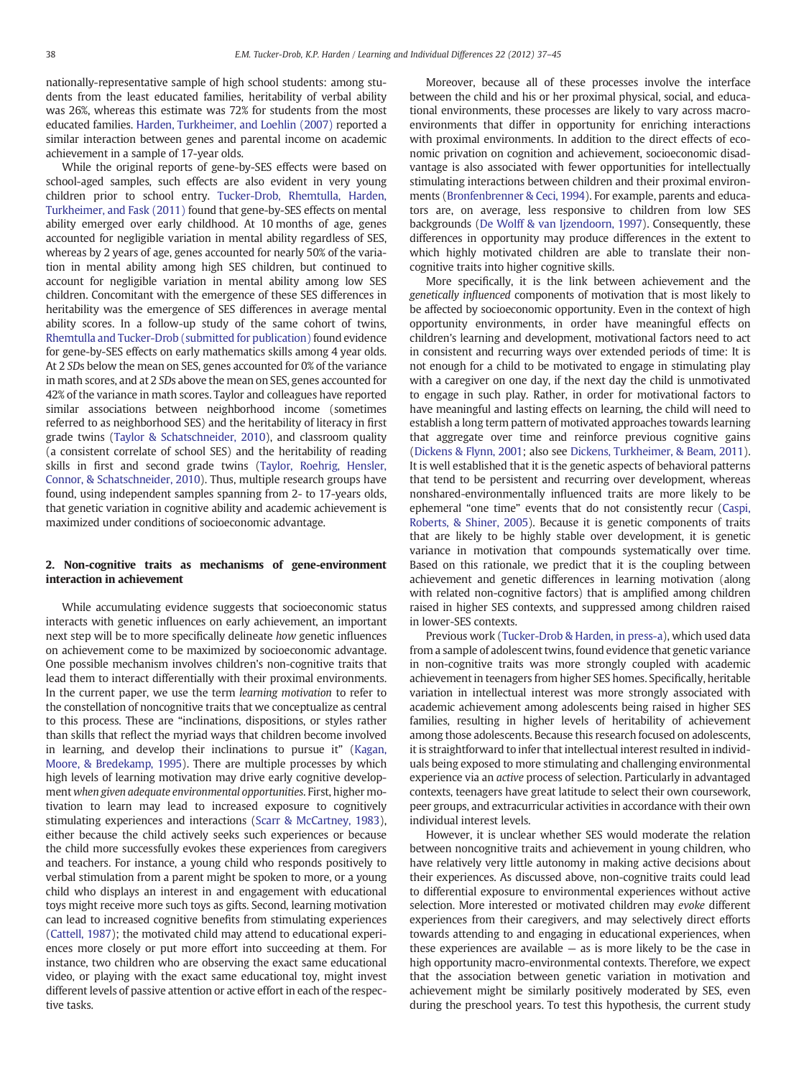nationally-representative sample of high school students: among students from the least educated families, heritability of verbal ability was 26%, whereas this estimate was 72% for students from the most educated families. [Harden, Turkheimer, and Loehlin \(2007\)](#page-8-0) reported a similar interaction between genes and parental income on academic achievement in a sample of 17-year olds.

While the original reports of gene-by-SES effects were based on school-aged samples, such effects are also evident in very young children prior to school entry. [Tucker-Drob, Rhemtulla, Harden,](#page-8-0) [Turkheimer, and Fask \(2011\)](#page-8-0) found that gene-by-SES effects on mental ability emerged over early childhood. At 10 months of age, genes accounted for negligible variation in mental ability regardless of SES, whereas by 2 years of age, genes accounted for nearly 50% of the variation in mental ability among high SES children, but continued to account for negligible variation in mental ability among low SES children. Concomitant with the emergence of these SES differences in heritability was the emergence of SES differences in average mental ability scores. In a follow-up study of the same cohort of twins, [Rhemtulla and Tucker-Drob \(submitted for publication\)](#page-8-0) found evidence for gene-by-SES effects on early mathematics skills among 4 year olds. At 2 SDs below the mean on SES, genes accounted for 0% of the variance in math scores, and at 2 SDs above the mean on SES, genes accounted for 42% of the variance in math scores. Taylor and colleagues have reported similar associations between neighborhood income (sometimes referred to as neighborhood SES) and the heritability of literacy in first grade twins [\(Taylor & Schatschneider, 2010](#page-8-0)), and classroom quality (a consistent correlate of school SES) and the heritability of reading skills in first and second grade twins ([Taylor, Roehrig, Hensler,](#page-8-0) [Connor, & Schatschneider, 2010](#page-8-0)). Thus, multiple research groups have found, using independent samples spanning from 2- to 17-years olds, that genetic variation in cognitive ability and academic achievement is maximized under conditions of socioeconomic advantage.

#### 2. Non-cognitive traits as mechanisms of gene-environment interaction in achievement

While accumulating evidence suggests that socioeconomic status interacts with genetic influences on early achievement, an important next step will be to more specifically delineate how genetic influences on achievement come to be maximized by socioeconomic advantage. One possible mechanism involves children's non-cognitive traits that lead them to interact differentially with their proximal environments. In the current paper, we use the term learning motivation to refer to the constellation of noncognitive traits that we conceptualize as central to this process. These are "inclinations, dispositions, or styles rather than skills that reflect the myriad ways that children become involved in learning, and develop their inclinations to pursue it" [\(Kagan,](#page-8-0) [Moore, & Bredekamp, 1995\)](#page-8-0). There are multiple processes by which high levels of learning motivation may drive early cognitive development when given adequate environmental opportunities. First, higher motivation to learn may lead to increased exposure to cognitively stimulating experiences and interactions [\(Scarr & McCartney, 1983\)](#page-8-0), either because the child actively seeks such experiences or because the child more successfully evokes these experiences from caregivers and teachers. For instance, a young child who responds positively to verbal stimulation from a parent might be spoken to more, or a young child who displays an interest in and engagement with educational toys might receive more such toys as gifts. Second, learning motivation can lead to increased cognitive benefits from stimulating experiences [\(Cattell, 1987\)](#page-8-0); the motivated child may attend to educational experiences more closely or put more effort into succeeding at them. For instance, two children who are observing the exact same educational video, or playing with the exact same educational toy, might invest different levels of passive attention or active effort in each of the respective tasks.

Moreover, because all of these processes involve the interface between the child and his or her proximal physical, social, and educational environments, these processes are likely to vary across macroenvironments that differ in opportunity for enriching interactions with proximal environments. In addition to the direct effects of economic privation on cognition and achievement, socioeconomic disadvantage is also associated with fewer opportunities for intellectually stimulating interactions between children and their proximal environments [\(Bronfenbrenner & Ceci, 1994\)](#page-8-0). For example, parents and educators are, on average, less responsive to children from low SES backgrounds [\(De Wolff & van Ijzendoorn, 1997\)](#page-8-0). Consequently, these differences in opportunity may produce differences in the extent to which highly motivated children are able to translate their noncognitive traits into higher cognitive skills.

More specifically, it is the link between achievement and the genetically influenced components of motivation that is most likely to be affected by socioeconomic opportunity. Even in the context of high opportunity environments, in order have meaningful effects on children's learning and development, motivational factors need to act in consistent and recurring ways over extended periods of time: It is not enough for a child to be motivated to engage in stimulating play with a caregiver on one day, if the next day the child is unmotivated to engage in such play. Rather, in order for motivational factors to have meaningful and lasting effects on learning, the child will need to establish a long term pattern of motivated approaches towards learning that aggregate over time and reinforce previous cognitive gains [\(Dickens & Flynn, 2001;](#page-8-0) also see [Dickens, Turkheimer, & Beam, 2011\)](#page-8-0). It is well established that it is the genetic aspects of behavioral patterns that tend to be persistent and recurring over development, whereas nonshared-environmentally influenced traits are more likely to be ephemeral "one time" events that do not consistently recur [\(Caspi,](#page-8-0) [Roberts, & Shiner, 2005\)](#page-8-0). Because it is genetic components of traits that are likely to be highly stable over development, it is genetic variance in motivation that compounds systematically over time. Based on this rationale, we predict that it is the coupling between achievement and genetic differences in learning motivation (along with related non-cognitive factors) that is amplified among children raised in higher SES contexts, and suppressed among children raised in lower-SES contexts.

Previous work ([Tucker-Drob & Harden, in press-a\)](#page-8-0), which used data from a sample of adolescent twins, found evidence that genetic variance in non-cognitive traits was more strongly coupled with academic achievement in teenagers from higher SES homes. Specifically, heritable variation in intellectual interest was more strongly associated with academic achievement among adolescents being raised in higher SES families, resulting in higher levels of heritability of achievement among those adolescents. Because this research focused on adolescents, it is straightforward to infer that intellectual interest resulted in individuals being exposed to more stimulating and challenging environmental experience via an active process of selection. Particularly in advantaged contexts, teenagers have great latitude to select their own coursework, peer groups, and extracurricular activities in accordance with their own individual interest levels.

However, it is unclear whether SES would moderate the relation between noncognitive traits and achievement in young children, who have relatively very little autonomy in making active decisions about their experiences. As discussed above, non-cognitive traits could lead to differential exposure to environmental experiences without active selection. More interested or motivated children may evoke different experiences from their caregivers, and may selectively direct efforts towards attending to and engaging in educational experiences, when these experiences are available  $-$  as is more likely to be the case in high opportunity macro-environmental contexts. Therefore, we expect that the association between genetic variation in motivation and achievement might be similarly positively moderated by SES, even during the preschool years. To test this hypothesis, the current study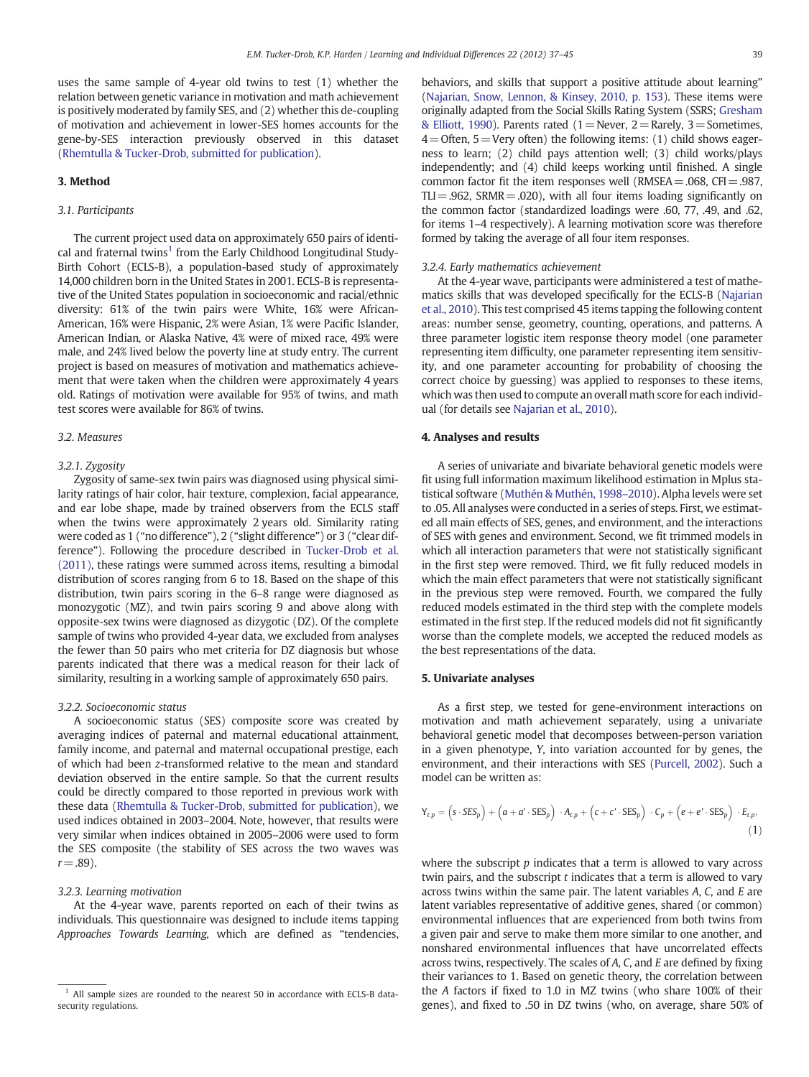uses the same sample of 4-year old twins to test (1) whether the relation between genetic variance in motivation and math achievement is positively moderated by family SES, and (2) whether this de-coupling of motivation and achievement in lower-SES homes accounts for the gene-by-SES interaction previously observed in this dataset [\(Rhemtulla & Tucker-Drob, submitted for publication](#page-8-0)).

#### 3. Method

#### 3.1. Participants

The current project used data on approximately 650 pairs of identical and fraternal twins<sup>1</sup> from the Early Childhood Longitudinal Study-Birth Cohort (ECLS-B), a population-based study of approximately 14,000 children born in the United States in 2001. ECLS-B is representative of the United States population in socioeconomic and racial/ethnic diversity: 61% of the twin pairs were White, 16% were African-American, 16% were Hispanic, 2% were Asian, 1% were Pacific Islander, American Indian, or Alaska Native, 4% were of mixed race, 49% were male, and 24% lived below the poverty line at study entry. The current project is based on measures of motivation and mathematics achievement that were taken when the children were approximately 4 years old. Ratings of motivation were available for 95% of twins, and math test scores were available for 86% of twins.

#### 3.2. Measures

#### 3.2.1. Zygosity

Zygosity of same-sex twin pairs was diagnosed using physical similarity ratings of hair color, hair texture, complexion, facial appearance, and ear lobe shape, made by trained observers from the ECLS staff when the twins were approximately 2 years old. Similarity rating were coded as 1 ("no difference"), 2 ("slight difference") or 3 ("clear difference"). Following the procedure described in [Tucker-Drob et al.](#page-8-0) [\(2011\)](#page-8-0), these ratings were summed across items, resulting a bimodal distribution of scores ranging from 6 to 18. Based on the shape of this distribution, twin pairs scoring in the 6–8 range were diagnosed as monozygotic (MZ), and twin pairs scoring 9 and above along with opposite-sex twins were diagnosed as dizygotic (DZ). Of the complete sample of twins who provided 4-year data, we excluded from analyses the fewer than 50 pairs who met criteria for DZ diagnosis but whose parents indicated that there was a medical reason for their lack of similarity, resulting in a working sample of approximately 650 pairs.

#### 3.2.2. Socioeconomic status

A socioeconomic status (SES) composite score was created by averaging indices of paternal and maternal educational attainment, family income, and paternal and maternal occupational prestige, each of which had been z-transformed relative to the mean and standard deviation observed in the entire sample. So that the current results could be directly compared to those reported in previous work with these data [\(Rhemtulla & Tucker-Drob, submitted for publication\)](#page-8-0), we used indices obtained in 2003–2004. Note, however, that results were very similar when indices obtained in 2005–2006 were used to form the SES composite (the stability of SES across the two waves was  $r = .89$ ).

#### 3.2.3. Learning motivation

At the 4-year wave, parents reported on each of their twins as individuals. This questionnaire was designed to include items tapping Approaches Towards Learning, which are defined as "tendencies,

behaviors, and skills that support a positive attitude about learning" [\(Najarian, Snow, Lennon, & Kinsey, 2010, p. 153](#page-8-0)). These items were originally adapted from the Social Skills Rating System (SSRS; [Gresham](#page-8-0) [& Elliott, 1990](#page-8-0)). Parents rated  $(1=Never, 2=Renely, 3=Sometimes,$  $4=$  Often,  $5=$  Very often) the following items: (1) child shows eagerness to learn; (2) child pays attention well; (3) child works/plays independently; and (4) child keeps working until finished. A single common factor fit the item responses well (RMSEA=.068, CFI=.987,  $TLI = .962$ ,  $SRMR = .020$ ), with all four items loading significantly on the common factor (standardized loadings were .60, 77, .49, and .62, for items 1–4 respectively). A learning motivation score was therefore formed by taking the average of all four item responses.

#### 3.2.4. Early mathematics achievement

At the 4-year wave, participants were administered a test of mathematics skills that was developed specifically for the ECLS-B [\(Najarian](#page-8-0) [et al., 2010](#page-8-0)). This test comprised 45 items tapping the following content areas: number sense, geometry, counting, operations, and patterns. A three parameter logistic item response theory model (one parameter representing item difficulty, one parameter representing item sensitivity, and one parameter accounting for probability of choosing the correct choice by guessing) was applied to responses to these items, which was then used to compute an overall math score for each individual (for details see [Najarian et al., 2010](#page-8-0)).

#### 4. Analyses and results

A series of univariate and bivariate behavioral genetic models were fit using full information maximum likelihood estimation in Mplus statistical software ([Muthén & Muthén, 1998](#page-8-0)–2010). Alpha levels were set to .05. All analyses were conducted in a series of steps. First, we estimated all main effects of SES, genes, and environment, and the interactions of SES with genes and environment. Second, we fit trimmed models in which all interaction parameters that were not statistically significant in the first step were removed. Third, we fit fully reduced models in which the main effect parameters that were not statistically significant in the previous step were removed. Fourth, we compared the fully reduced models estimated in the third step with the complete models estimated in the first step. If the reduced models did not fit significantly worse than the complete models, we accepted the reduced models as the best representations of the data.

#### 5. Univariate analyses

As a first step, we tested for gene-environment interactions on motivation and math achievement separately, using a univariate behavioral genetic model that decomposes between-person variation in a given phenotype, Y, into variation accounted for by genes, the environment, and their interactions with SES [\(Purcell, 2002](#page-8-0)). Such a model can be written as:

$$
Y_{t,p} = (s \cdot SES_p) + (a + a \cdot SES_p) \cdot A_{t,p} + (c + c \cdot SES_p) \cdot C_p + (e + e \cdot SES_p) \cdot E_{t,p},
$$
\n(1)

where the subscript  $p$  indicates that a term is allowed to vary across twin pairs, and the subscript  $t$  indicates that a term is allowed to vary across twins within the same pair. The latent variables  $A$ ,  $C$ , and  $E$  are latent variables representative of additive genes, shared (or common) environmental influences that are experienced from both twins from a given pair and serve to make them more similar to one another, and nonshared environmental influences that have uncorrelated effects across twins, respectively. The scales of A, C, and E are defined by fixing their variances to 1. Based on genetic theory, the correlation between the A factors if fixed to 1.0 in MZ twins (who share 100% of their genes), and fixed to .50 in DZ twins (who, on average, share 50% of

<sup>&</sup>lt;sup>1</sup> All sample sizes are rounded to the nearest 50 in accordance with ECLS-B datasecurity regulations.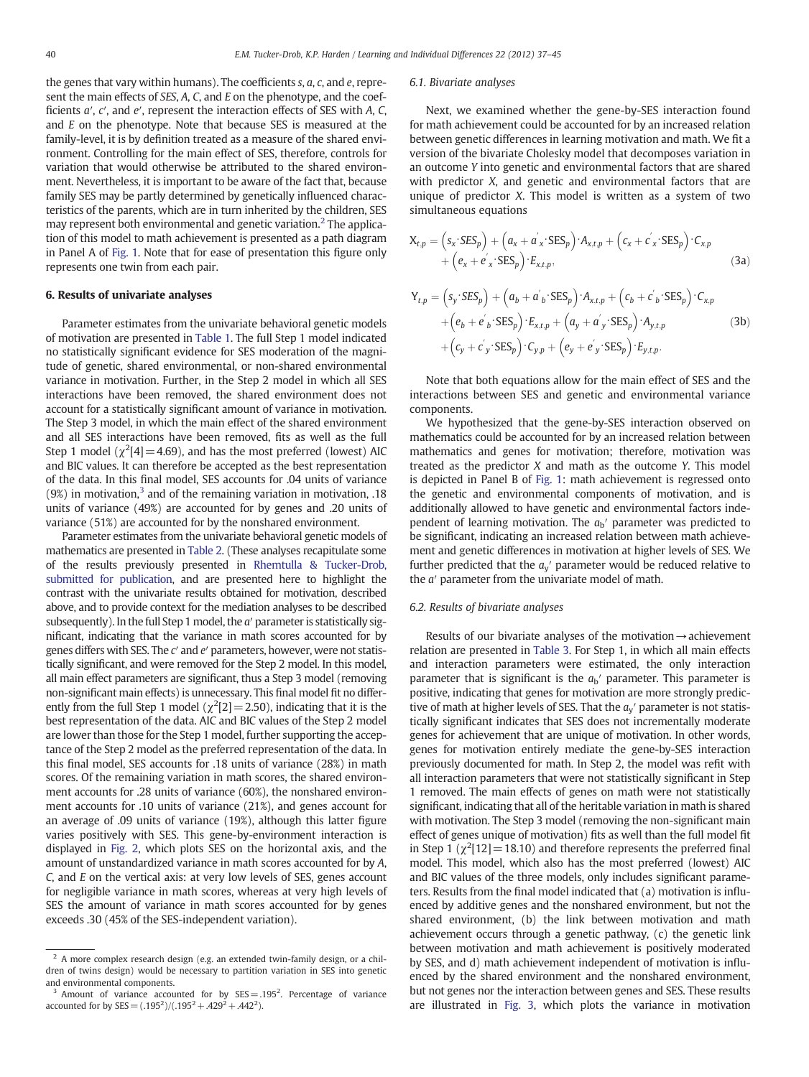the genes that vary within humans). The coefficients s, a, c, and e, represent the main effects of SES, A, C, and E on the phenotype, and the coefficients a′, c′, and e′, represent the interaction effects of SES with A, C, and E on the phenotype. Note that because SES is measured at the family-level, it is by definition treated as a measure of the shared environment. Controlling for the main effect of SES, therefore, controls for variation that would otherwise be attributed to the shared environment. Nevertheless, it is important to be aware of the fact that, because family SES may be partly determined by genetically influenced characteristics of the parents, which are in turn inherited by the children, SES may represent both environmental and genetic variation.<sup>2</sup> The application of this model to math achievement is presented as a path diagram in Panel A of [Fig. 1.](#page-4-0) Note that for ease of presentation this figure only represents one twin from each pair.

#### 6. Results of univariate analyses

Parameter estimates from the univariate behavioral genetic models of motivation are presented in [Table 1.](#page-4-0) The full Step 1 model indicated no statistically significant evidence for SES moderation of the magnitude of genetic, shared environmental, or non-shared environmental variance in motivation. Further, in the Step 2 model in which all SES interactions have been removed, the shared environment does not account for a statistically significant amount of variance in motivation. The Step 3 model, in which the main effect of the shared environment and all SES interactions have been removed, fits as well as the full Step 1 model ( $\chi^2$ [4] = 4.69), and has the most preferred (lowest) AIC and BIC values. It can therefore be accepted as the best representation of the data. In this final model, SES accounts for .04 units of variance  $(9%)$  in motivation,<sup>3</sup> and of the remaining variation in motivation, .18 units of variance (49%) are accounted for by genes and .20 units of variance (51%) are accounted for by the nonshared environment.

Parameter estimates from the univariate behavioral genetic models of mathematics are presented in [Table 2](#page-5-0). (These analyses recapitulate some of the results previously presented in [Rhemtulla & Tucker-Drob,](#page-8-0) [submitted for publication,](#page-8-0) and are presented here to highlight the contrast with the univariate results obtained for motivation, described above, and to provide context for the mediation analyses to be described subsequently). In the full Step 1 model, the a′ parameter is statistically significant, indicating that the variance in math scores accounted for by genes differs with SES. The c′ and e′ parameters, however, were not statistically significant, and were removed for the Step 2 model. In this model, all main effect parameters are significant, thus a Step 3 model (removing non-significant main effects) is unnecessary. This final model fit no differently from the full Step 1 model ( $\chi^2$ [2] = 2.50), indicating that it is the best representation of the data. AIC and BIC values of the Step 2 model are lower than those for the Step 1 model, further supporting the acceptance of the Step 2 model as the preferred representation of the data. In this final model, SES accounts for .18 units of variance (28%) in math scores. Of the remaining variation in math scores, the shared environment accounts for .28 units of variance (60%), the nonshared environment accounts for .10 units of variance (21%), and genes account for an average of .09 units of variance (19%), although this latter figure varies positively with SES. This gene-by-environment interaction is displayed in [Fig. 2,](#page-5-0) which plots SES on the horizontal axis, and the amount of unstandardized variance in math scores accounted for by A,  $C$ , and  $E$  on the vertical axis: at very low levels of SES, genes account for negligible variance in math scores, whereas at very high levels of SES the amount of variance in math scores accounted for by genes exceeds .30 (45% of the SES-independent variation).

#### 6.1. Bivariate analyses

Next, we examined whether the gene-by-SES interaction found for math achievement could be accounted for by an increased relation between genetic differences in learning motivation and math. We fit a version of the bivariate Cholesky model that decomposes variation in an outcome Y into genetic and environmental factors that are shared with predictor X, and genetic and environmental factors that are unique of predictor X. This model is written as a system of two simultaneous equations

$$
X_{t,p} = (s_x \cdot \text{SES}_p) + (a_x + a_x \cdot \text{SES}_p) \cdot A_{x,t,p} + (c_x + c_x \cdot \text{SES}_p) \cdot C_{x,p} + (e_x + e_x \cdot \text{SES}_p) \cdot E_{x,t,p},
$$
\n(3a)

$$
Y_{t,p} = (s_y \cdot \text{SES}_p) + (a_b + a'_b \cdot \text{SES}_p) \cdot A_{x,t,p} + (c_b + c'_b \cdot \text{SES}_p) \cdot C_{x,p}
$$
  
+ 
$$
(e_b + e'_b \cdot \text{SES}_p) \cdot E_{x,t,p} + (a_y + a'_y \cdot \text{SES}_p) \cdot A_{y,t,p}
$$
  
+ 
$$
(c_y + c'_y \cdot \text{SES}_p) \cdot C_{y,p} + (e_y + e'_y \cdot \text{SES}_p) \cdot E_{y,t,p}.
$$
 (3b)

Note that both equations allow for the main effect of SES and the interactions between SES and genetic and environmental variance components.

We hypothesized that the gene-by-SES interaction observed on mathematics could be accounted for by an increased relation between mathematics and genes for motivation; therefore, motivation was treated as the predictor X and math as the outcome Y. This model is depicted in Panel B of [Fig. 1](#page-4-0): math achievement is regressed onto the genetic and environmental components of motivation, and is additionally allowed to have genetic and environmental factors independent of learning motivation. The  $a<sub>b</sub>$ ' parameter was predicted to be significant, indicating an increased relation between math achievement and genetic differences in motivation at higher levels of SES. We further predicted that the  $a_v$ ' parameter would be reduced relative to the a′ parameter from the univariate model of math.

#### 6.2. Results of bivariate analyses

Results of our bivariate analyses of the motivation→achievement relation are presented in [Table 3](#page-6-0). For Step 1, in which all main effects and interaction parameters were estimated, the only interaction parameter that is significant is the  $a<sub>b</sub>$ ' parameter. This parameter is positive, indicating that genes for motivation are more strongly predictive of math at higher levels of SES. That the  $a_{y}$  parameter is not statistically significant indicates that SES does not incrementally moderate genes for achievement that are unique of motivation. In other words, genes for motivation entirely mediate the gene-by-SES interaction previously documented for math. In Step 2, the model was refit with all interaction parameters that were not statistically significant in Step 1 removed. The main effects of genes on math were not statistically significant, indicating that all of the heritable variation in math is shared with motivation. The Step 3 model (removing the non-significant main effect of genes unique of motivation) fits as well than the full model fit in Step 1 ( $\chi^2$ [12] = 18.10) and therefore represents the preferred final model. This model, which also has the most preferred (lowest) AIC and BIC values of the three models, only includes significant parameters. Results from the final model indicated that (a) motivation is influenced by additive genes and the nonshared environment, but not the shared environment, (b) the link between motivation and math achievement occurs through a genetic pathway, (c) the genetic link between motivation and math achievement is positively moderated by SES, and d) math achievement independent of motivation is influenced by the shared environment and the nonshared environment, but not genes nor the interaction between genes and SES. These results are illustrated in [Fig. 3](#page-6-0), which plots the variance in motivation

 $^{2}$  A more complex research design (e.g. an extended twin-family design, or a children of twins design) would be necessary to partition variation in SES into genetic and environmental components.

<sup>&</sup>lt;sup>3</sup> Amount of variance accounted for by  $SES = .195^2$ . Percentage of variance accounted for by  $SES = (.195^2)/(.195^2 + .429^2 + .442^2)$ .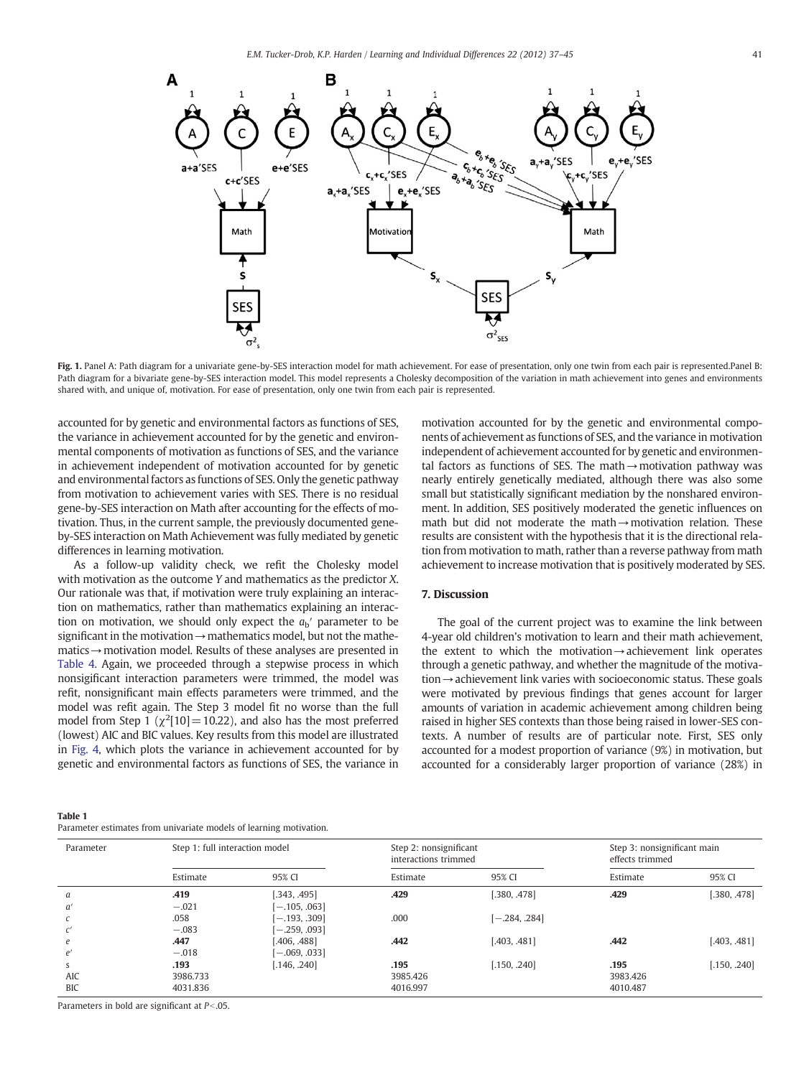<span id="page-4-0"></span>

Fig. 1. Panel A: Path diagram for a univariate gene-by-SES interaction model for math achievement. For ease of presentation, only one twin from each pair is represented.Panel B: Path diagram for a bivariate gene-by-SES interaction model. This model represents a Cholesky decomposition of the variation in math achievement into genes and environments shared with, and unique of, motivation. For ease of presentation, only one twin from each pair is represented.

accounted for by genetic and environmental factors as functions of SES, the variance in achievement accounted for by the genetic and environmental components of motivation as functions of SES, and the variance in achievement independent of motivation accounted for by genetic and environmental factors as functions of SES. Only the genetic pathway from motivation to achievement varies with SES. There is no residual gene-by-SES interaction on Math after accounting for the effects of motivation. Thus, in the current sample, the previously documented geneby-SES interaction on Math Achievement was fully mediated by genetic differences in learning motivation.

As a follow-up validity check, we refit the Cholesky model with motivation as the outcome Y and mathematics as the predictor X. Our rationale was that, if motivation were truly explaining an interaction on mathematics, rather than mathematics explaining an interaction on motivation, we should only expect the  $a_{b}$ ' parameter to be significant in the motivation  $\rightarrow$  mathematics model, but not the mathematics→motivation model. Results of these analyses are presented in [Table 4.](#page-7-0) Again, we proceeded through a stepwise process in which nonsigificant interaction parameters were trimmed, the model was refit, nonsignificant main effects parameters were trimmed, and the model was refit again. The Step 3 model fit no worse than the full model from Step 1 ( $\chi^2$ [10] = 10.22), and also has the most preferred (lowest) AIC and BIC values. Key results from this model are illustrated in [Fig. 4,](#page-7-0) which plots the variance in achievement accounted for by genetic and environmental factors as functions of SES, the variance in motivation accounted for by the genetic and environmental components of achievement as functions of SES, and the variance in motivation independent of achievement accounted for by genetic and environmental factors as functions of SES. The math $\rightarrow$ motivation pathway was nearly entirely genetically mediated, although there was also some small but statistically significant mediation by the nonshared environment. In addition, SES positively moderated the genetic influences on math but did not moderate the math→motivation relation. These results are consistent with the hypothesis that it is the directional relation from motivation to math, rather than a reverse pathway from math achievement to increase motivation that is positively moderated by SES.

#### 7. Discussion

The goal of the current project was to examine the link between 4-year old children's motivation to learn and their math achievement, the extent to which the motivation→achievement link operates through a genetic pathway, and whether the magnitude of the motivation→achievement link varies with socioeconomic status. These goals were motivated by previous findings that genes account for larger amounts of variation in academic achievement among children being raised in higher SES contexts than those being raised in lower-SES contexts. A number of results are of particular note. First, SES only accounted for a modest proportion of variance (9%) in motivation, but accounted for a considerably larger proportion of variance (28%) in

Parameter estimates from univariate models of learning motivation.

| Parameter                     | Step 1: full interaction model |                                  | Step 2: nonsignificant<br>interactions trimmed |                 | Step 3: nonsignificant main<br>effects trimmed |              |
|-------------------------------|--------------------------------|----------------------------------|------------------------------------------------|-----------------|------------------------------------------------|--------------|
|                               | Estimate                       | 95% CI                           | Estimate                                       | 95% CI          | Estimate                                       | 95% CI       |
| a<br>a'                       | .419<br>$-.021$                | [.343, .495]<br>$-.105, .063]$   | .429                                           | [.380, .478]    | .429                                           | [.380, .478] |
|                               | .058<br>$-.083$                | $-.193, .309]$<br>$-.259, .093]$ | .000                                           | $[-.284, .284]$ |                                                |              |
| e<br>e'                       | .447<br>$-.018$                | [.406, .488]<br>$[-.069, .033]$  | .442                                           | [.403, .481]    | .442                                           | [.403, .481] |
| S<br><b>AIC</b><br><b>BIC</b> | .193<br>3986.733<br>4031.836   | [.146, .240]                     | .195<br>3985.426<br>4016.997                   | [.150, .240]    | .195<br>3983.426<br>4010.487                   | [.150, .240] |

Parameters in bold are significant at  $P<sub>05</sub>$ .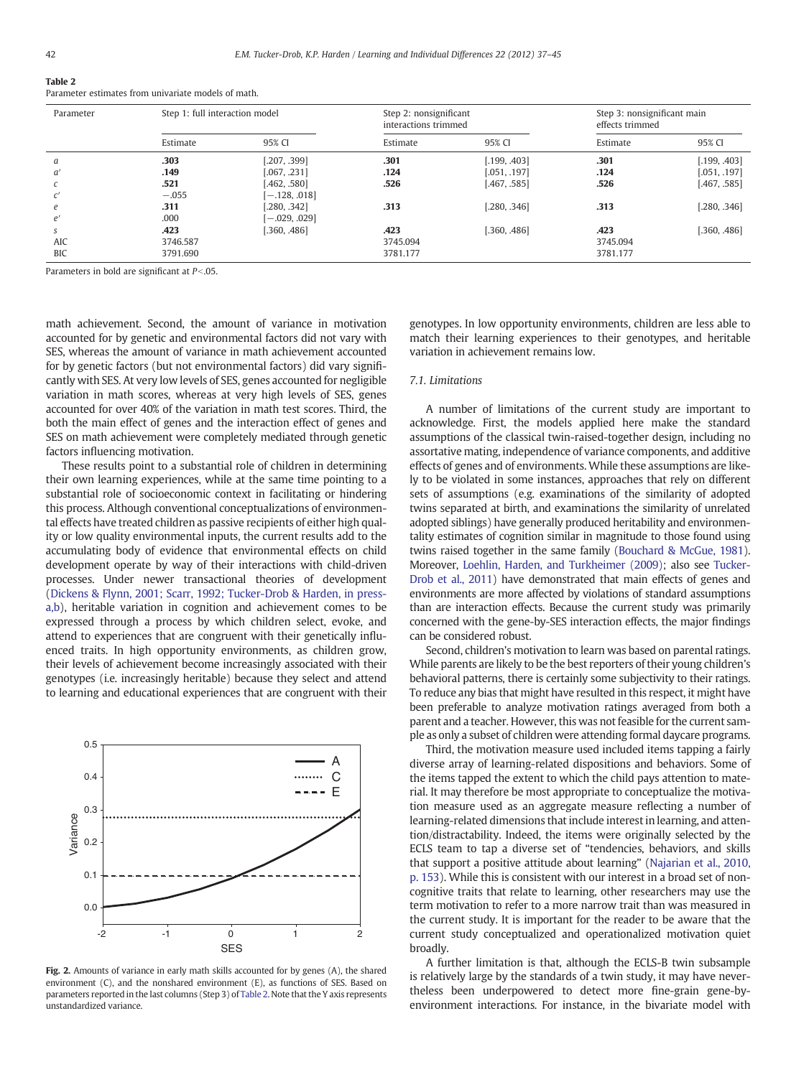<span id="page-5-0"></span>Table 2

| Parameter    | Step 1: full interaction model |                 | Step 2: nonsignificant<br>interactions trimmed |              | Step 3: nonsignificant main<br>effects trimmed |              |
|--------------|--------------------------------|-----------------|------------------------------------------------|--------------|------------------------------------------------|--------------|
|              | Estimate                       | 95% CI          | Estimate                                       | 95% CI       | Estimate                                       | 95% CI       |
| a            | .303                           | [.207, .399]    | .301                                           | [.199, .403] | .301                                           | [.199, .403] |
| $a^{\prime}$ | .149                           | [.067, .231]    | .124                                           | [.051, .197] | .124                                           | [.051, .197] |
|              | .521                           | [.462, .580]    | .526                                           | [.467, .585] | .526                                           | [.467, .585] |
|              | $-.055$                        | $[-.128, .018]$ |                                                |              |                                                |              |
| e            | .311                           | $.280, .342$ ]  | .313                                           | [.280, .346] | .313                                           | [.280, .346] |
| e'           | .000                           | $[-.029, .029]$ |                                                |              |                                                |              |
|              | .423                           | [.360, .486]    | .423                                           | [.360, .486] | .423                                           | [.360, .486] |
| <b>AIC</b>   | 3746.587                       |                 | 3745.094                                       |              | 3745.094                                       |              |
| <b>BIC</b>   | 3791.690                       |                 | 3781.177                                       |              | 3781.177                                       |              |

Parameter estimates from univariate models of math.

Parameters in bold are significant at  $P < 0.05$ .

math achievement. Second, the amount of variance in motivation accounted for by genetic and environmental factors did not vary with SES, whereas the amount of variance in math achievement accounted for by genetic factors (but not environmental factors) did vary significantly with SES. At very low levels of SES, genes accounted for negligible variation in math scores, whereas at very high levels of SES, genes accounted for over 40% of the variation in math test scores. Third, the both the main effect of genes and the interaction effect of genes and SES on math achievement were completely mediated through genetic factors influencing motivation.

These results point to a substantial role of children in determining their own learning experiences, while at the same time pointing to a substantial role of socioeconomic context in facilitating or hindering this process. Although conventional conceptualizations of environmental effects have treated children as passive recipients of either high quality or low quality environmental inputs, the current results add to the accumulating body of evidence that environmental effects on child development operate by way of their interactions with child-driven processes. Under newer transactional theories of development [\(Dickens & Flynn, 2001; Scarr, 1992; Tucker-Drob & Harden, in press](#page-8-0)[a,b\)](#page-8-0), heritable variation in cognition and achievement comes to be expressed through a process by which children select, evoke, and attend to experiences that are congruent with their genetically influenced traits. In high opportunity environments, as children grow, their levels of achievement become increasingly associated with their genotypes (i.e. increasingly heritable) because they select and attend to learning and educational experiences that are congruent with their



Fig. 2. Amounts of variance in early math skills accounted for by genes (A), the shared environment (C), and the nonshared environment (E), as functions of SES. Based on parameters reported in the last columns (Step 3) of Table 2. Note that the Y axis represents unstandardized variance.

genotypes. In low opportunity environments, children are less able to match their learning experiences to their genotypes, and heritable variation in achievement remains low.

#### 7.1. Limitations

A number of limitations of the current study are important to acknowledge. First, the models applied here make the standard assumptions of the classical twin-raised-together design, including no assortative mating, independence of variance components, and additive effects of genes and of environments. While these assumptions are likely to be violated in some instances, approaches that rely on different sets of assumptions (e.g. examinations of the similarity of adopted twins separated at birth, and examinations the similarity of unrelated adopted siblings) have generally produced heritability and environmentality estimates of cognition similar in magnitude to those found using twins raised together in the same family ([Bouchard & McGue, 1981\)](#page-8-0). Moreover, [Loehlin, Harden, and Turkheimer \(2009\)](#page-8-0); also see [Tucker-](#page-8-0)[Drob et al., 2011\)](#page-8-0) have demonstrated that main effects of genes and environments are more affected by violations of standard assumptions than are interaction effects. Because the current study was primarily concerned with the gene-by-SES interaction effects, the major findings can be considered robust.

Second, children's motivation to learn was based on parental ratings. While parents are likely to be the best reporters of their young children's behavioral patterns, there is certainly some subjectivity to their ratings. To reduce any bias that might have resulted in this respect, it might have been preferable to analyze motivation ratings averaged from both a parent and a teacher. However, this was not feasible for the current sample as only a subset of children were attending formal daycare programs.

Third, the motivation measure used included items tapping a fairly diverse array of learning-related dispositions and behaviors. Some of the items tapped the extent to which the child pays attention to material. It may therefore be most appropriate to conceptualize the motivation measure used as an aggregate measure reflecting a number of learning-related dimensions that include interest in learning, and attention/distractability. Indeed, the items were originally selected by the ECLS team to tap a diverse set of "tendencies, behaviors, and skills that support a positive attitude about learning" [\(Najarian et al., 2010,](#page-8-0) [p. 153](#page-8-0)). While this is consistent with our interest in a broad set of noncognitive traits that relate to learning, other researchers may use the term motivation to refer to a more narrow trait than was measured in the current study. It is important for the reader to be aware that the current study conceptualized and operationalized motivation quiet broadly.

A further limitation is that, although the ECLS-B twin subsample is relatively large by the standards of a twin study, it may have nevertheless been underpowered to detect more fine-grain gene-byenvironment interactions. For instance, in the bivariate model with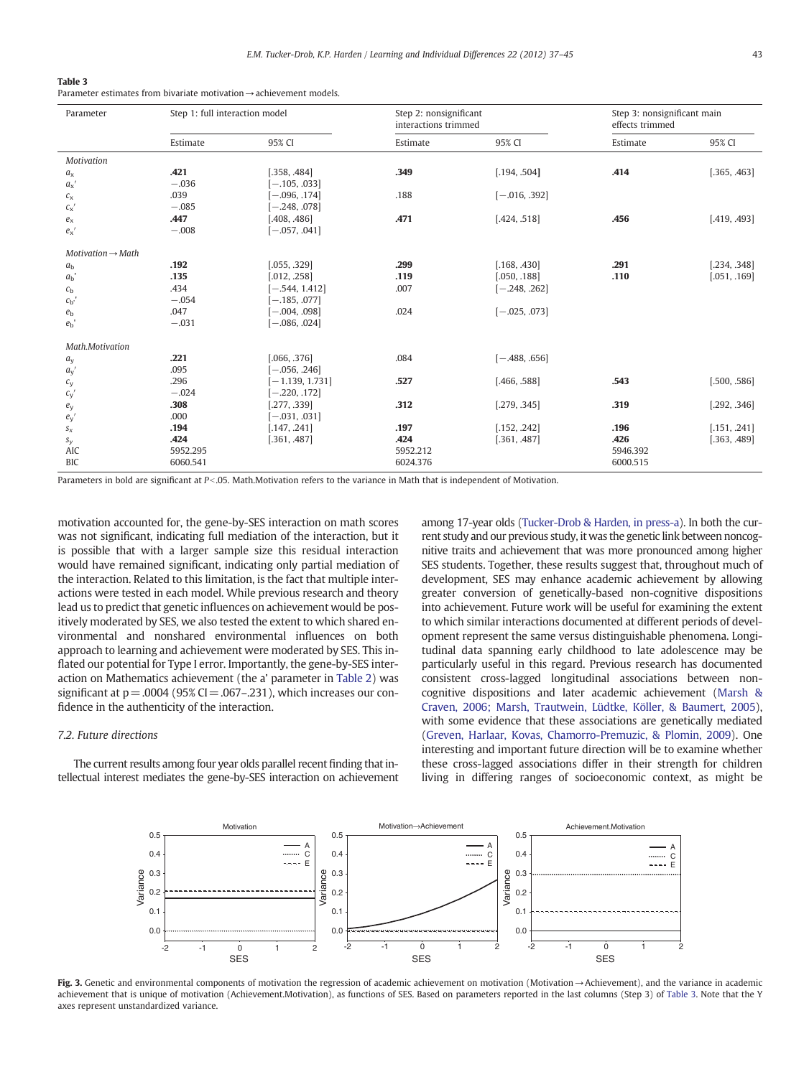#### <span id="page-6-0"></span>Table 3

Parameter estimates from bivariate motivation→achievement models.

| Parameter                     | Step 1: full interaction model |                  | Step 2: nonsignificant<br>interactions trimmed |                 | Step 3: nonsignificant main<br>effects trimmed |              |
|-------------------------------|--------------------------------|------------------|------------------------------------------------|-----------------|------------------------------------------------|--------------|
|                               | Estimate                       | 95% CI           | Estimate                                       | 95% CI          | Estimate                                       | 95% CI       |
| Motivation                    |                                |                  |                                                |                 |                                                |              |
| $a_{\rm x}$                   | .421                           | [.358, .484]     | .349                                           | [.194, .504]    | .414                                           | [.365, .463] |
| $a_{x}$ '                     | $-.036$                        | $-.105, .033]$   |                                                |                 |                                                |              |
| $\mathcal{C}_{\mathbf{X}}$    | .039                           | $-.096, .174]$   | .188                                           | $[-.016, .392]$ |                                                |              |
| $c_{x}$                       | $-.085$                        | $-.248, .078]$   |                                                |                 |                                                |              |
| $e_{x}$                       | .447                           | [.408, .486]     | .471                                           | [.424, .518]    | .456                                           | [.419, .493] |
| $e_{\rm x}{}'$                | $-.008$                        | $[-.057, .041]$  |                                                |                 |                                                |              |
| $Motivation \rightarrow Math$ |                                |                  |                                                |                 |                                                |              |
| a <sub>b</sub>                | .192                           | [.055, .329]     | .299                                           | [.168, .430]    | .291                                           | [.234, .348] |
| $a_{\rm b}$                   | .135                           | [.012, .258]     | .119                                           | [.050, .188]    | .110                                           | [.051, .169] |
| $c_{\rm b}$                   | .434                           | $[-.544, 1.412]$ | .007                                           | $[-.248, .262]$ |                                                |              |
| $c_{\rm b}$ '                 | $-.054$                        | $-.185, .077]$   |                                                |                 |                                                |              |
| e <sub>b</sub>                | .047                           | $-.004, .098]$   | .024                                           | $[-.025, .073]$ |                                                |              |
| $e_{\rm b}$ '                 | $-.031$                        | $[-.086, .024]$  |                                                |                 |                                                |              |
| Math.Motivation               |                                |                  |                                                |                 |                                                |              |
| $a_{y}$                       | .221                           | [.066, .376]     | .084                                           | $[-.488, .656]$ |                                                |              |
| $a_y'$                        | .095                           | $-.056, .246]$   |                                                |                 |                                                |              |
| $c_{y}$                       | .296                           | $-1.139, 1.731$  | .527                                           | [.466, .588]    | .543                                           | [.500, .586] |
| $c_{y}$                       | $-.024$                        | $-.220, .172]$   |                                                |                 |                                                |              |
| $e_y$                         | .308                           | [.277, .339]     | .312                                           | [.279, .345]    | .319                                           | [.292, .346] |
| $e_y$                         | .000                           | $[-.031, .031]$  |                                                |                 |                                                |              |
| $S_\chi$                      | .194                           | [.147, .241]     | .197                                           | [.152, .242]    | .196                                           | [.151, .241] |
| $S_y$                         | .424                           | [.361, .487]     | .424                                           | [.361, .487]    | .426                                           | [.363, .489] |
| <b>AIC</b>                    | 5952.295                       |                  | 5952.212                                       |                 | 5946.392                                       |              |
| BIC                           | 6060.541                       |                  | 6024.376                                       |                 | 6000.515                                       |              |

Parameters in bold are significant at P<.05. Math.Motivation refers to the variance in Math that is independent of Motivation.

motivation accounted for, the gene-by-SES interaction on math scores was not significant, indicating full mediation of the interaction, but it is possible that with a larger sample size this residual interaction would have remained significant, indicating only partial mediation of the interaction. Related to this limitation, is the fact that multiple interactions were tested in each model. While previous research and theory lead us to predict that genetic influences on achievement would be positively moderated by SES, we also tested the extent to which shared environmental and nonshared environmental influences on both approach to learning and achievement were moderated by SES. This inflated our potential for Type I error. Importantly, the gene-by-SES interaction on Mathematics achievement (the a' parameter in [Table 2\)](#page-5-0) was significant at  $p = .0004$  (95% CI  $= .067-0.231$ ), which increases our confidence in the authenticity of the interaction.

#### 7.2. Future directions

The current results among four year olds parallel recent finding that intellectual interest mediates the gene-by-SES interaction on achievement among 17-year olds ([Tucker-Drob & Harden, in press-a\)](#page-8-0). In both the current study and our previous study, it was the genetic link between noncognitive traits and achievement that was more pronounced among higher SES students. Together, these results suggest that, throughout much of development, SES may enhance academic achievement by allowing greater conversion of genetically-based non-cognitive dispositions into achievement. Future work will be useful for examining the extent to which similar interactions documented at different periods of development represent the same versus distinguishable phenomena. Longitudinal data spanning early childhood to late adolescence may be particularly useful in this regard. Previous research has documented consistent cross-lagged longitudinal associations between noncognitive dispositions and later academic achievement [\(Marsh &](#page-8-0) [Craven, 2006; Marsh, Trautwein, Lüdtke, Köller, & Baumert, 2005](#page-8-0)), with some evidence that these associations are genetically mediated [\(Greven, Harlaar, Kovas, Chamorro-Premuzic, & Plomin, 2009](#page-8-0)). One interesting and important future direction will be to examine whether these cross-lagged associations differ in their strength for children living in differing ranges of socioeconomic context, as might be



Fig. 3. Genetic and environmental components of motivation the regression of academic achievement on motivation (Motivation→Achievement), and the variance in academic achievement that is unique of motivation (Achievement.Motivation), as functions of SES. Based on parameters reported in the last columns (Step 3) of Table 3. Note that the Y axes represent unstandardized variance.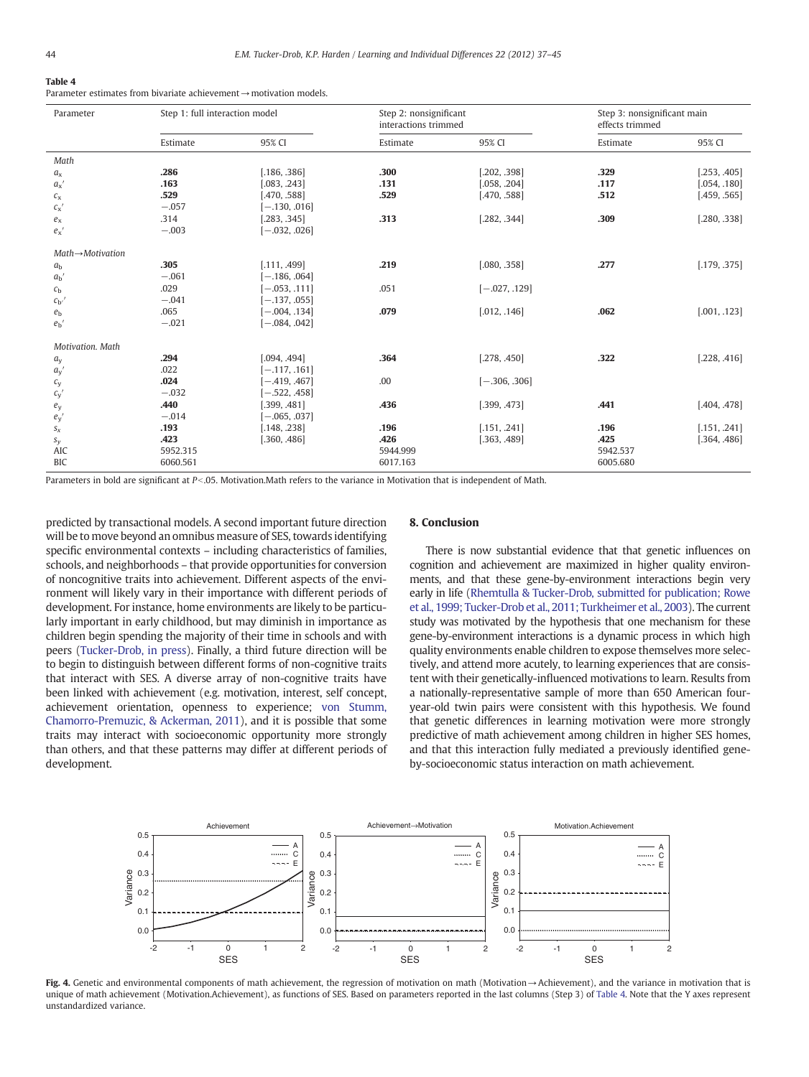#### <span id="page-7-0"></span>Table 4

Parameter estimates from bivariate achievement → motivation models.

| Parameter                     | Step 1: full interaction model |                 | Step 2: nonsignificant<br>interactions trimmed |                 | Step 3: nonsignificant main<br>effects trimmed |              |
|-------------------------------|--------------------------------|-----------------|------------------------------------------------|-----------------|------------------------------------------------|--------------|
|                               | Estimate                       | 95% CI          | Estimate                                       | 95% CI          | Estimate                                       | 95% CI       |
| Math                          |                                |                 |                                                |                 |                                                |              |
| $a_{\rm x}$                   | .286                           | [.186, .386]    | .300                                           | [.202, .398]    | .329                                           | [.253, .405] |
| $a_{x}$ '                     | .163                           | [.083, .243]    | .131                                           | [.058, .204]    | .117                                           | [.054, .180] |
| $\mathcal{C}_{\rm X}$         | .529                           | [.470, .588]    | .529                                           | [.470, .588]    | .512                                           | [.459, .565] |
| $C_X'$                        | $-.057$                        | $[-.130, .016]$ |                                                |                 |                                                |              |
| $e_{\rm x}$                   | .314                           | [.283, .345]    | .313                                           | [.282, .344]    | .309                                           | [.280, .338] |
| $e_{x}$ '                     | $-.003$                        | $[-.032, .026]$ |                                                |                 |                                                |              |
| $Math \rightarrow Motivation$ |                                |                 |                                                |                 |                                                |              |
| a <sub>b</sub>                | .305                           | [.111, .499]    | .219                                           | [.080, .358]    | .277                                           | [.179, .375] |
| $a_{\rm b}$ '                 | $-.061$                        | $[-.186, .064]$ |                                                |                 |                                                |              |
| $c_{\rm b}$                   | .029                           | $[-.053, .111]$ | .051                                           | $[-.027, .129]$ |                                                |              |
| $C_{\rm b'}$                  | $-.041$                        | $[-.137, .055]$ |                                                |                 |                                                |              |
| e <sub>b</sub>                | .065                           | $[-.004, .134]$ | .079                                           | [.012, .146]    | .062                                           | [.001, .123] |
| $e_{\rm b}$ '                 | $-.021$                        | $[-.084, .042]$ |                                                |                 |                                                |              |
| Motivation, Math              |                                |                 |                                                |                 |                                                |              |
| $a_{y}$                       | .294                           | [.094, .494]    | .364                                           | [.278, .450]    | .322                                           | [.228, .416] |
| $a_v'$                        | .022                           | $[-.117, .161]$ |                                                |                 |                                                |              |
| $c_{\rm y}$                   | .024                           | $[-.419, .467]$ | .00                                            | $[-.306, .306]$ |                                                |              |
| $c_{y}$                       | $-.032$                        | $[-.522, .458]$ |                                                |                 |                                                |              |
| $e_{\rm y}$                   | .440                           | [.399, .481]    | .436                                           | [.399, .473]    | .441                                           | [.404, .478] |
| $e_y$                         | $-.014$                        | $[-.065, .037]$ |                                                |                 |                                                |              |
| $S_\chi$                      | .193                           | [.148, .238]    | .196                                           | [.151, .241]    | .196                                           | [.151, .241] |
| $S_y$                         | .423                           | [.360, .486]    | .426                                           | [.363, .489]    | .425                                           | [.364, .486] |
| AIC                           | 5952.315                       |                 | 5944.999                                       |                 | 5942.537                                       |              |
| <b>BIC</b>                    | 6060.561                       |                 | 6017.163                                       |                 | 6005.680                                       |              |

Parameters in bold are significant at  $P<.05$ . Motivation.Math refers to the variance in Motivation that is independent of Math.

predicted by transactional models. A second important future direction will be to move beyond an omnibus measure of SES, towards identifying specific environmental contexts – including characteristics of families, schools, and neighborhoods – that provide opportunities for conversion of noncognitive traits into achievement. Different aspects of the environment will likely vary in their importance with different periods of development. For instance, home environments are likely to be particularly important in early childhood, but may diminish in importance as children begin spending the majority of their time in schools and with peers [\(Tucker-Drob, in press](#page-8-0)). Finally, a third future direction will be to begin to distinguish between different forms of non-cognitive traits that interact with SES. A diverse array of non-cognitive traits have been linked with achievement (e.g. motivation, interest, self concept, achievement orientation, openness to experience; [von Stumm,](#page-8-0) [Chamorro-Premuzic, & Ackerman, 2011\)](#page-8-0), and it is possible that some traits may interact with socioeconomic opportunity more strongly than others, and that these patterns may differ at different periods of development.

#### 8. Conclusion

There is now substantial evidence that that genetic influences on cognition and achievement are maximized in higher quality environments, and that these gene-by-environment interactions begin very early in life ([Rhemtulla & Tucker-Drob, submitted for publication; Rowe](#page-8-0) [et al., 1999; Tucker-Drob et al., 2011; Turkheimer et al., 2003](#page-8-0)). The current study was motivated by the hypothesis that one mechanism for these gene-by-environment interactions is a dynamic process in which high quality environments enable children to expose themselves more selectively, and attend more acutely, to learning experiences that are consistent with their genetically-influenced motivations to learn. Results from a nationally-representative sample of more than 650 American fouryear-old twin pairs were consistent with this hypothesis. We found that genetic differences in learning motivation were more strongly predictive of math achievement among children in higher SES homes, and that this interaction fully mediated a previously identified geneby-socioeconomic status interaction on math achievement.



Fig. 4. Genetic and environmental components of math achievement, the regression of motivation on math (Motivation → Achievement), and the variance in motivation that is unique of math achievement (Motivation.Achievement), as functions of SES. Based on parameters reported in the last columns (Step 3) of Table 4. Note that the Y axes represent unstandardized variance.